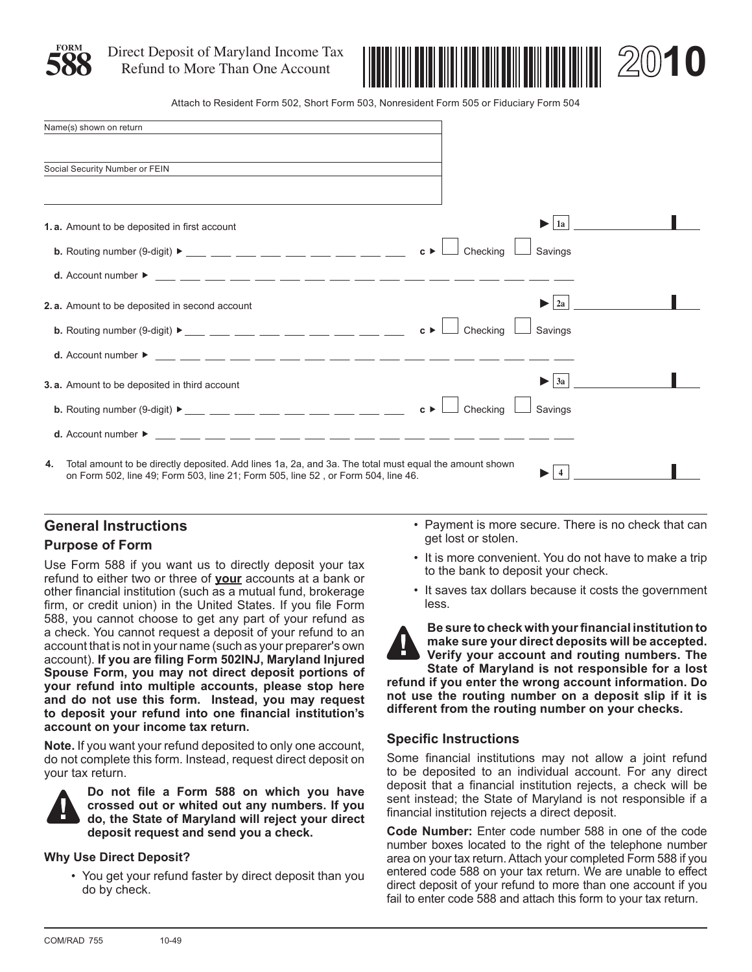

**588** Direct Deposit of Maryland Income Tax Refund to More Than One Account



Attach to Resident Form 502, Short Form 503, Nonresident Form 505 or Fiduciary Form 504

|    | Name(s) shown on return                                                                                                                                                                     |                    |          |  |                          |  |  |
|----|---------------------------------------------------------------------------------------------------------------------------------------------------------------------------------------------|--------------------|----------|--|--------------------------|--|--|
|    | Social Security Number or FEIN                                                                                                                                                              |                    |          |  |                          |  |  |
|    | 1.a. Amount to be deposited in first account                                                                                                                                                |                    |          |  | $\blacktriangleright$ 1a |  |  |
|    | b. Routing number (9-digit) $\triangleright$ ____ ___ ___ ___ ___ ___ ___ ___ ___                                                                                                           | $c \triangleright$ | Checking |  | Savings                  |  |  |
|    |                                                                                                                                                                                             |                    |          |  |                          |  |  |
|    | 2.a. Amount to be deposited in second account                                                                                                                                               |                    |          |  | $\geq 2a$                |  |  |
|    |                                                                                                                                                                                             | $c \triangleright$ | Checking |  | Savings                  |  |  |
|    |                                                                                                                                                                                             |                    |          |  |                          |  |  |
|    | <b>3.a.</b> Amount to be deposited in third account                                                                                                                                         |                    |          |  | $\blacktriangleright$ 3a |  |  |
|    | <b>b.</b> Routing number (9-digit) $\blacktriangleright$ _____ ____ ____ ____ ____ ____ ____                                                                                                | $c \triangleright$ | Checking |  | Savings                  |  |  |
|    |                                                                                                                                                                                             |                    |          |  |                          |  |  |
| 4. | Total amount to be directly deposited. Add lines 1a, 2a, and 3a. The total must equal the amount shown<br>on Form 502, line 49; Form 503, line 21; Form 505, line 52, or Form 504, line 46. |                    |          |  |                          |  |  |

# **General Instructions**

# **Purpose of Form**

Use Form 588 if you want us to directly deposit your tax refund to either two or three of **your** accounts at a bank or other financial institution (such as a mutual fund, brokerage firm, or credit union) in the United States. If you file Form 588, you cannot choose to get any part of your refund as a check. You cannot request a deposit of your refund to an account that is not in your name (such as your preparer's own account). **If you are filing Form 502INJ, Maryland Injured Spouse Form, you may not direct deposit portions of your refund into multiple accounts, please stop here and do not use this form. Instead, you may request to deposit your refund into one financial institution's account on your income tax return.**

**Note.** If you want your refund deposited to only one account, do not complete this form. Instead, request direct deposit on your tax return.



**Do not file a Form 588 on which you have crossed out or whited out any numbers. If you do, the State of Maryland will reject your direct deposit request and send you a check.** 

## **Why Use Direct Deposit?**

• You get your refund faster by direct deposit than you do by check.

- Payment is more secure. There is no check that can get lost or stolen.
- It is more convenient. You do not have to make a trip to the bank to deposit your check.
- It saves tax dollars because it costs the government less.



**Be sure to check with your financial institution to make sure your direct deposits will be accepted. Verify your account and routing numbers. The State of Maryland is not responsible for a lost** 

**refund if you enter the wrong account information. Do not use the routing number on a deposit slip if it is different from the routing number on your checks.**

# **Specific Instructions**

Some financial institutions may not allow a joint refund to be deposited to an individual account. For any direct deposit that a financial institution rejects, a check will be sent instead; the State of Maryland is not responsible if a financial institution rejects a direct deposit.

**Code Number:** Enter code number 588 in one of the code number boxes located to the right of the telephone number area on your tax return. Attach your completed Form 588 if you entered code 588 on your tax return. We are unable to effect direct deposit of your refund to more than one account if you fail to enter code 588 and attach this form to your tax return.